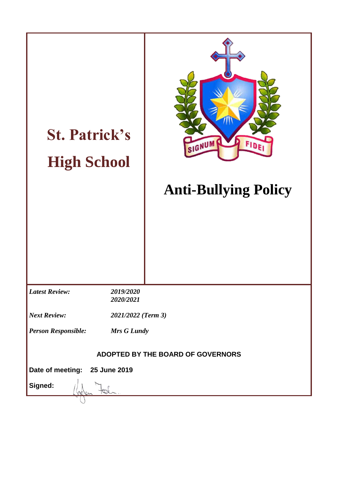| <b>St. Patrick's</b><br><b>High School</b> |                        | FIDE<br>SIGNUM<br><b>Anti-Bullying Policy</b> |  |
|--------------------------------------------|------------------------|-----------------------------------------------|--|
| <b>Latest Review:</b>                      | 2019/2020<br>2020/2021 |                                               |  |
| <b>Next Review:</b><br>2021/2022 (Term 3)  |                        |                                               |  |
| <b>Person Responsible:</b><br>Mrs G Lundy  |                        |                                               |  |
| ADOPTED BY THE BOARD OF GOVERNORS          |                        |                                               |  |
| Date of meeting: 25 June 2019              |                        |                                               |  |
| Signed:                                    |                        |                                               |  |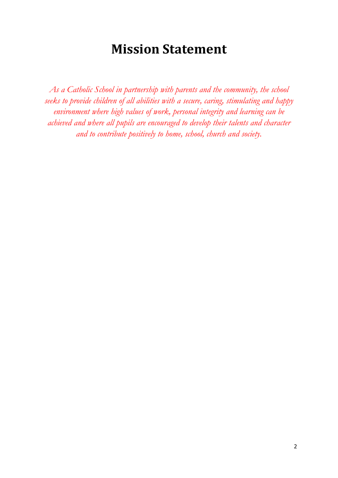# **Mission Statement**

As a Catholic School in partnership with parents and the community, the school *seeks to provide children of all abilities with a secure, caring, stimulating and happy environment where high values of work, personal integrity and learning can be achieved and where all pupils are encouraged to develop their talents and character and to contribute positively to home, school, church and society.*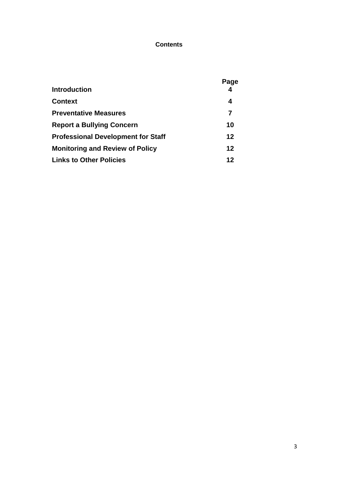## **Contents**

|                                           | Page    |
|-------------------------------------------|---------|
| <b>Introduction</b>                       |         |
| <b>Context</b>                            | 4       |
| <b>Preventative Measures</b>              | 7       |
| <b>Report a Bullying Concern</b>          | 10      |
| <b>Professional Development for Staff</b> | $12 \,$ |
| <b>Monitoring and Review of Policy</b>    | $12 \,$ |
| <b>Links to Other Policies</b>            | 12      |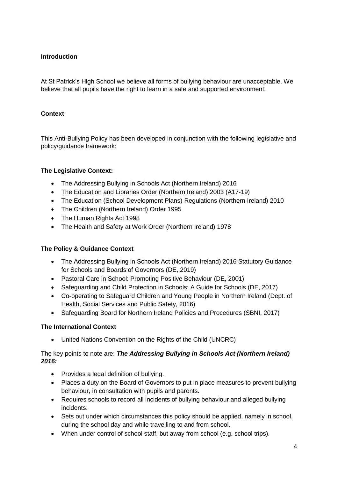# **Introduction**

At St Patrick's High School we believe all forms of bullying behaviour are unacceptable. We believe that all pupils have the right to learn in a safe and supported environment.

## **Context**

This Anti-Bullying Policy has been developed in conjunction with the following legislative and policy/guidance framework:

## **The Legislative Context:**

- [The Addressing Bullying in Schools Act \(Northern Ireland\) 2016](http://www.legislation.gov.uk/nia/2016/25/contents)
- [The Education and Libraries Order \(Northern Ireland\) 2003](http://www.legislation.gov.uk/nisi/2003/424/contents/made) (A17-19)
- [The Education \(School Development Plans\) Regulations \(Northern Ireland\) 2010](https://www.education-ni.gov.uk/sites/default/files/publications/de/annex-a-school-development-plans-regulations-2010.pdf)
- [The Children \(Northern Ireland\) Order 1995](http://www.legislation.gov.uk/nisi/1995/755/contents/made)
- [The Human Rights Act 1998](https://www.legislation.gov.uk/ukpga/1998/42/contents)
- [The Health and Safety at Work Order \(Northern Ireland\) 1978](https://www.legislation.gov.uk/nisi/1978/1039)

#### **The Policy & Guidance Context**

- The Addressing Bullying in Schools Act (Northern Ireland) 2016 Statutory Guidance for Schools and Boards of Governors (DE, 2019)
- [Pastoral Care in School: Promoting Positive Behaviour \(DE, 2001\)](https://www.education-ni.gov.uk/sites/default/files/publications/de/pastoral%20care%20in%20schools.pdf)
- [Safeguarding and Child Protection in Schools: A Guide for Schools \(DE, 2017\)](https://www.education-ni.gov.uk/sites/default/files/publications/education/Safeguarding-and-Child-Protection-in-Schools-A-Guide-for-Schools.pdf)
- [Co-operating to Safeguard Children and Young People in Northern Ireland \(Dept. of](https://www.health-ni.gov.uk/publications/co-operating-safeguard-children-and-young-people-northern-ireland)  [Health, Social Services and Public Safety, 2016\)](https://www.health-ni.gov.uk/publications/co-operating-safeguard-children-and-young-people-northern-ireland)
- [Safeguarding Board for Northern Ireland Policies and Procedures \(SBNI, 2017\)](https://www.proceduresonline.com/sbni/)

#### **The International Context**

[United Nations Convention on the Rights of the Child](https://downloads.unicef.org.uk/wp-content/uploads/2010/05/UNCRC_united_nations_convention_on_the_rights_of_the_child.pdf?_ga=2.109765637.1827233515.1552648186-274690600.1552648186) (UNCRC)

## The key points to note are: *The Addressing Bullying in Schools Act (Northern Ireland) 2016:*

- Provides a legal definition of bullying.
- Places a duty on the Board of Governors to put in place measures to prevent bullying behaviour, in consultation with pupils and parents.
- Requires schools to record all incidents of bullying behaviour and alleged bullying incidents.
- Sets out under which circumstances this policy should be applied, namely in school, during the school day and while travelling to and from school.
- When under control of school staff, but away from school (e.g. school trips).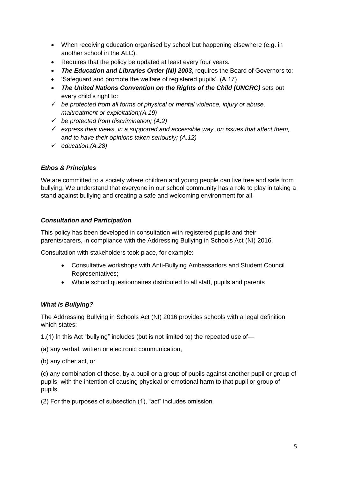- When receiving education organised by school but happening elsewhere (e.g. in another school in the ALC).
- Requires that the policy be updated at least every four years.
- *The Education and Libraries Order (NI) 2003*, requires the Board of Governors to:
- 'Safeguard and promote the welfare of registered pupils'. (A.17)
- *The United Nations Convention on the Rights of the Child (UNCRC)* sets out every child's right to:
- *be protected from all forms of physical or mental violence, injury or abuse, maltreatment or exploitation;(A.19)*
- *be protected from discrimination; (A.2)*
- *express their views, in a supported and accessible way, on issues that affect them, and to have their opinions taken seriously; (A.12)*
- *education.(A.28)*

## *Ethos & Principles*

We are committed to a society where children and young people can live free and safe from bullying. We understand that everyone in our school community has a role to play in taking a stand against bullying and creating a safe and welcoming environment for all.

# *Consultation and Participation*

This policy has been developed in consultation with registered pupils and their parents/carers, in compliance with the Addressing Bullying in Schools Act (NI) 2016.

Consultation with stakeholders took place, for example:

- Consultative workshops with Anti-Bullying Ambassadors and Student Council Representatives;
- Whole school questionnaires distributed to all staff, pupils and parents

## *What is Bullying?*

The Addressing Bullying in Schools Act (NI) 2016 provides schools with a legal definition which states:

1.(1) In this Act "bullying" includes (but is not limited to) the repeated use of—

(a) any verbal, written or electronic communication,

(b) any other act, or

(c) any combination of those, by a pupil or a group of pupils against another pupil or group of pupils, with the intention of causing physical or emotional harm to that pupil or group of pupils.

(2) For the purposes of subsection (1), "act" includes omission.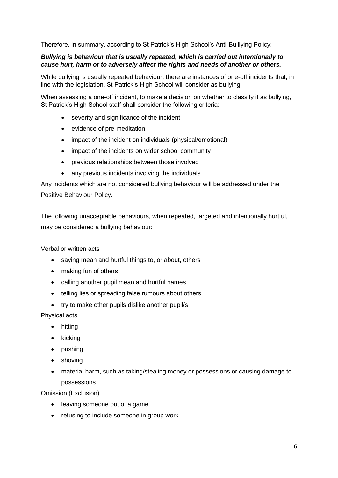Therefore, in summary, according to St Patrick's High School's Anti-Bulllying Policy;

## *Bullying is behaviour that is usually repeated, which is carried out intentionally to cause hurt, harm or to adversely affect the rights and needs of another or others.*

While bullying is usually repeated behaviour, there are instances of one-off incidents that, in line with the legislation, St Patrick's High School will consider as bullying.

When assessing a one-off incident, to make a decision on whether to classify it as bullying. St Patrick's High School staff shall consider the following criteria:

- severity and significance of the incident
- evidence of pre-meditation
- impact of the incident on individuals (physical/emotional)
- impact of the incidents on wider school community
- previous relationships between those involved
- any previous incidents involving the individuals

Any incidents which are not considered bullying behaviour will be addressed under the Positive Behaviour Policy.

The following unacceptable behaviours, when repeated, targeted and intentionally hurtful, may be considered a bullying behaviour:

Verbal or written acts

- saying mean and hurtful things to, or about, others
- making fun of others
- calling another pupil mean and hurtful names
- telling lies or spreading false rumours about others
- try to make other pupils dislike another pupil/s

#### Physical acts

- hitting
- $\bullet$  kicking
- pushing
- shoving
- material harm, such as taking/stealing money or possessions or causing damage to possessions

Omission (Exclusion)

- leaving someone out of a game
- refusing to include someone in group work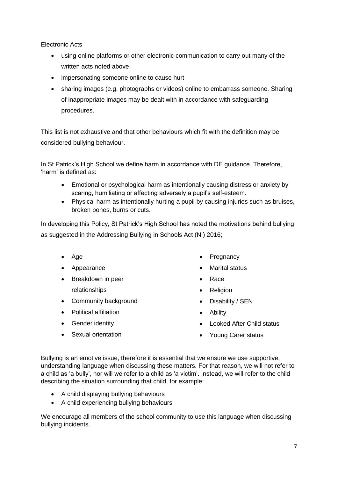Electronic Acts

- using online platforms or other electronic communication to carry out many of the written acts noted above
- impersonating someone online to cause hurt
- sharing images (e.g. photographs or videos) online to embarrass someone. Sharing of inappropriate images may be dealt with in accordance with safeguarding procedures.

This list is not exhaustive and that other behaviours which fit with the definition may be considered bullying behaviour.

In St Patrick's High School we define harm in accordance with DE guidance. Therefore, 'harm' is defined as:

- Emotional or psychological harm as intentionally causing distress or anxiety by scaring, humiliating or affecting adversely a pupil's self-esteem.
- Physical harm as intentionally hurting a pupil by causing injuries such as bruises, broken bones, burns or cuts.

In developing this Policy, St Patrick's High School has noted the motivations behind bullying as suggested in the Addressing Bullying in Schools Act (NI) 2016;

- Age
- Appearance
- Breakdown in peer relationships
- Community background
- Political affiliation
- Gender identity
- Sexual orientation
- Pregnancy
- Marital status
- Race
- Religion
- Disability / SEN
- Ability
- Looked After Child status
- Young Carer status

Bullying is an emotive issue, therefore it is essential that we ensure we use supportive, understanding language when discussing these matters. For that reason, we will not refer to a child as 'a bully', nor will we refer to a child as 'a victim'. Instead, we will refer to the child describing the situation surrounding that child, for example:

- A child displaying bullying behaviours
- A child experiencing bullying behaviours

We encourage all members of the school community to use this language when discussing bullying incidents.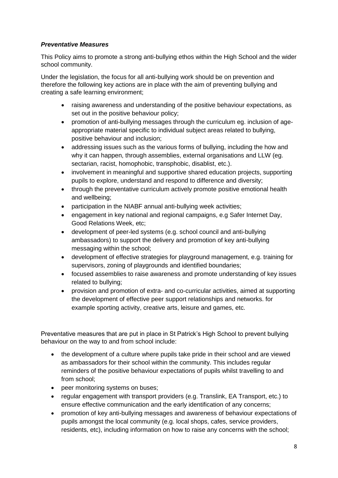## *Preventative Measures*

This Policy aims to promote a strong anti-bullying ethos within the High School and the wider school community.

Under the legislation, the focus for all anti-bullying work should be on prevention and therefore the following key actions are in place with the aim of preventing bullying and creating a safe learning environment;

- raising awareness and understanding of the positive behaviour expectations, as set out in the positive behaviour policy;
- promotion of anti-bullying messages through the curriculum eg. inclusion of ageappropriate material specific to individual subject areas related to bullying, positive behaviour and inclusion;
- addressing issues such as the various forms of bullying, including the how and why it can happen, through assemblies, external organisations and LLW (eg. sectarian, racist, homophobic, transphobic, disablist, etc.).
- involvement in meaningful and supportive shared education projects, supporting pupils to explore, understand and respond to difference and diversity;
- through the preventative curriculum actively promote positive emotional health and wellbeing;
- participation in the NIABF annual anti-bullying week activities;
- engagement in key national and regional campaigns, e.g Safer Internet Day, Good Relations Week, etc;
- development of peer-led systems (e.g. school council and anti-bullying ambassadors) to support the delivery and promotion of key anti-bullying messaging within the school;
- development of effective strategies for playground management, e.g. training for supervisors, zoning of playgrounds and identified boundaries;
- focused assemblies to raise awareness and promote understanding of key issues related to bullying;
- provision and promotion of extra- and co-curricular activities, aimed at supporting the development of effective peer support relationships and networks. for example sporting activity, creative arts, leisure and games, etc.

Preventative measures that are put in place in St Patrick's High School to prevent bullying behaviour on the way to and from school include:

- the development of a culture where pupils take pride in their school and are viewed as ambassadors for their school within the community. This includes regular reminders of the positive behaviour expectations of pupils whilst travelling to and from school;
- peer monitoring systems on buses;
- regular engagement with transport providers (e.g. Translink, EA Transport, etc.) to ensure effective communication and the early identification of any concerns;
- promotion of key anti-bullying messages and awareness of behaviour expectations of pupils amongst the local community (e.g. local shops, cafes, service providers, residents, etc), including information on how to raise any concerns with the school;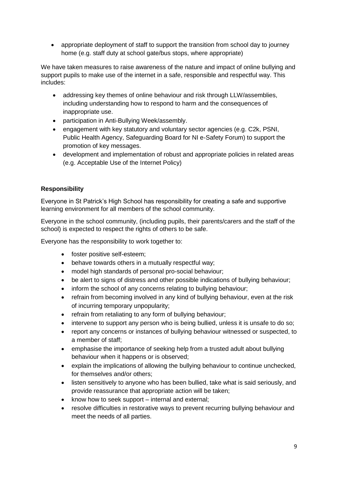appropriate deployment of staff to support the transition from school day to journey home (e.g. staff duty at school gate/bus stops, where appropriate)

We have taken measures to raise awareness of the nature and impact of online bullying and support pupils to make use of the internet in a safe, responsible and respectful way. This includes:

- addressing key themes of online behaviour and risk through LLW/assemblies, including understanding how to respond to harm and the consequences of inappropriate use.
- participation in Anti-Bullying Week/assembly.
- engagement with key statutory and voluntary sector agencies (e.g. C2k, PSNI, Public Health Agency, Safeguarding Board for NI e-Safety Forum) to support the promotion of key messages.
- development and implementation of robust and appropriate policies in related areas (e.g. Acceptable Use of the Internet Policy)

## **Responsibility**

Everyone in St Patrick's High School has responsibility for creating a safe and supportive learning environment for all members of the school community.

Everyone in the school community, (including pupils, their parents/carers and the staff of the school) is expected to respect the rights of others to be safe.

Everyone has the responsibility to work together to:

- foster positive self-esteem;
- behave towards others in a mutually respectful way;
- model high standards of personal pro-social behaviour;
- be alert to signs of distress and other possible indications of bullying behaviour;
- inform the school of any concerns relating to bullying behaviour;
- refrain from becoming involved in any kind of bullying behaviour, even at the risk of incurring temporary unpopularity;
- refrain from retaliating to any form of bullying behaviour;
- intervene to support any person who is being bullied, unless it is unsafe to do so;
- report any concerns or instances of bullying behaviour witnessed or suspected, to a member of staff;
- emphasise the importance of seeking help from a trusted adult about bullying behaviour when it happens or is observed;
- explain the implications of allowing the bullying behaviour to continue unchecked, for themselves and/or others;
- listen sensitively to anyone who has been bullied, take what is said seriously, and provide reassurance that appropriate action will be taken;
- know how to seek support internal and external;
- resolve difficulties in restorative ways to prevent recurring bullying behaviour and meet the needs of all parties.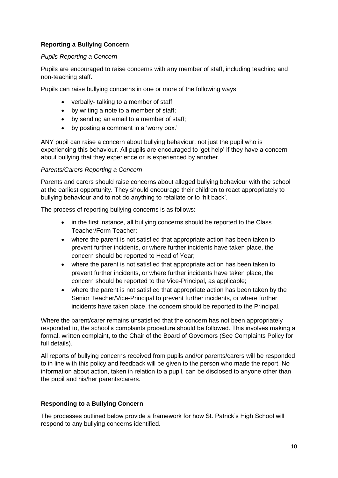## **Reporting a Bullying Concern**

#### *Pupils Reporting a Concern*

Pupils are encouraged to raise concerns with any member of staff, including teaching and non-teaching staff.

Pupils can raise bullying concerns in one or more of the following ways:

- verbally- talking to a member of staff;
- by writing a note to a member of staff;
- by sending an email to a member of staff;
- by posting a comment in a 'worry box.'

ANY pupil can raise a concern about bullying behaviour, not just the pupil who is experiencing this behaviour. All pupils are encouraged to 'get help' if they have a concern about bullying that they experience or is experienced by another.

## *Parents/Carers Reporting a Concern*

Parents and carers should raise concerns about alleged bullying behaviour with the school at the earliest opportunity. They should encourage their children to react appropriately to bullying behaviour and to not do anything to retaliate or to 'hit back'.

The process of reporting bullying concerns is as follows:

- in the first instance, all bullying concerns should be reported to the Class Teacher/Form Teacher;
- where the parent is not satisfied that appropriate action has been taken to prevent further incidents, or where further incidents have taken place, the concern should be reported to Head of Year;
- where the parent is not satisfied that appropriate action has been taken to prevent further incidents, or where further incidents have taken place, the concern should be reported to the Vice-Principal, as applicable;
- where the parent is not satisfied that appropriate action has been taken by the Senior Teacher/Vice-Principal to prevent further incidents, or where further incidents have taken place, the concern should be reported to the Principal.

Where the parent/carer remains unsatisfied that the concern has not been appropriately responded to, the school's complaints procedure should be followed. This involves making a formal, written complaint, to the Chair of the Board of Governors (See Complaints Policy for full details).

All reports of bullying concerns received from pupils and/or parents/carers will be responded to in line with this policy and feedback will be given to the person who made the report. No information about action, taken in relation to a pupil, can be disclosed to anyone other than the pupil and his/her parents/carers.

## **Responding to a Bullying Concern**

The processes outlined below provide a framework for how St. Patrick's High School will respond to any bullying concerns identified.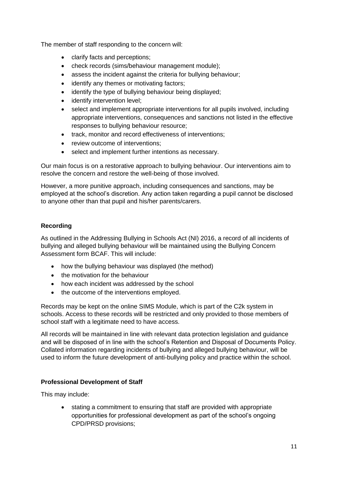The member of staff responding to the concern will:

- clarify facts and perceptions:
- check records (sims/behaviour management module);
- assess the incident against the criteria for bullying behaviour;
- identify any themes or motivating factors;
- identify the type of bullying behaviour being displayed;
- identify intervention level:
- select and implement appropriate interventions for all pupils involved, including appropriate interventions, consequences and sanctions not listed in the effective responses to bullying behaviour resource;
- track, monitor and record effectiveness of interventions:
- review outcome of interventions;
- select and implement further intentions as necessary.

Our main focus is on a restorative approach to bullying behaviour. Our interventions aim to resolve the concern and restore the well-being of those involved.

However, a more punitive approach, including consequences and sanctions, may be employed at the school's discretion. Any action taken regarding a pupil cannot be disclosed to anyone other than that pupil and his/her parents/carers.

# **Recording**

As outlined in the Addressing Bullying in Schools Act (NI) 2016, a record of all incidents of bullying and alleged bullying behaviour will be maintained using the Bullying Concern Assessment form BCAF. This will include:

- how the bullying behaviour was displayed (the method)
- the motivation for the behaviour
- how each incident was addressed by the school
- the outcome of the interventions employed.

Records may be kept on the online SIMS Module, which is part of the C2k system in schools. Access to these records will be restricted and only provided to those members of school staff with a legitimate need to have access.

All records will be maintained in line with relevant data protection legislation and guidance and will be disposed of in line with the school's Retention and Disposal of Documents Policy. Collated information regarding incidents of bullying and alleged bullying behaviour, will be used to inform the future development of anti-bullying policy and practice within the school.

## **Professional Development of Staff**

This may include:

 stating a commitment to ensuring that staff are provided with appropriate opportunities for professional development as part of the school's ongoing CPD/PRSD provisions;